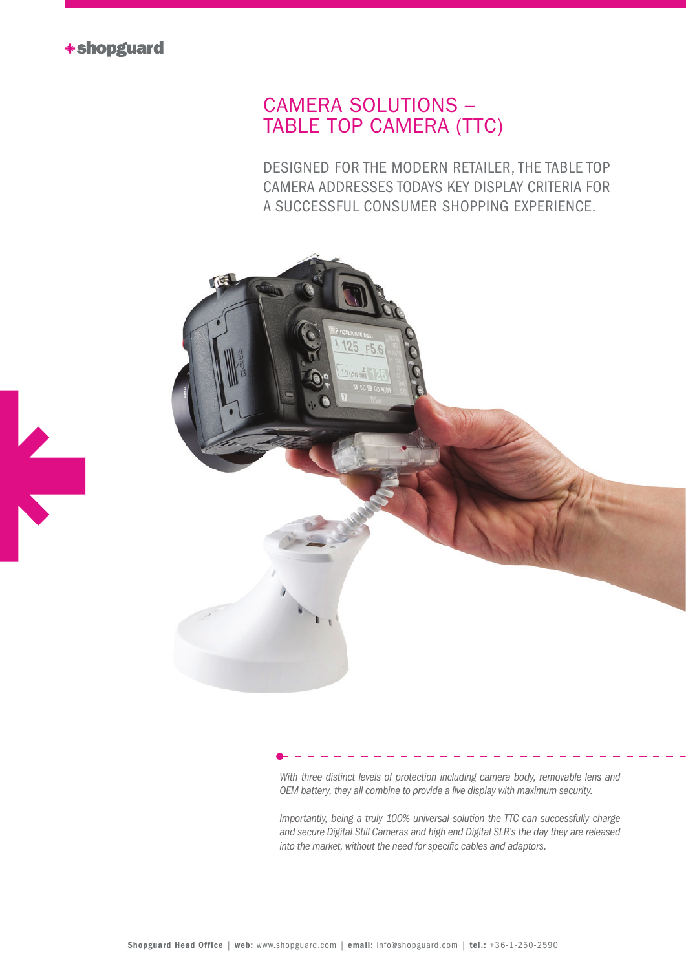

## CAMERA SOLUTIONS -Table Top Camera (TTC)

Designed for the modern retailer, the Table Top Camera addresses todays key display criteria for a successful consumer shopping experience.



## *With three distinct levels of protection including camera body, removable lens and*

*OEM battery, they all combine to provide a live display with maximum security.*

*Importantly, being a truly 100% universal solution the TTC can successfully charge and secure Digital Still Cameras and high end Digital SLR's the day they are released into the market, without the need for specific cables and adaptors.*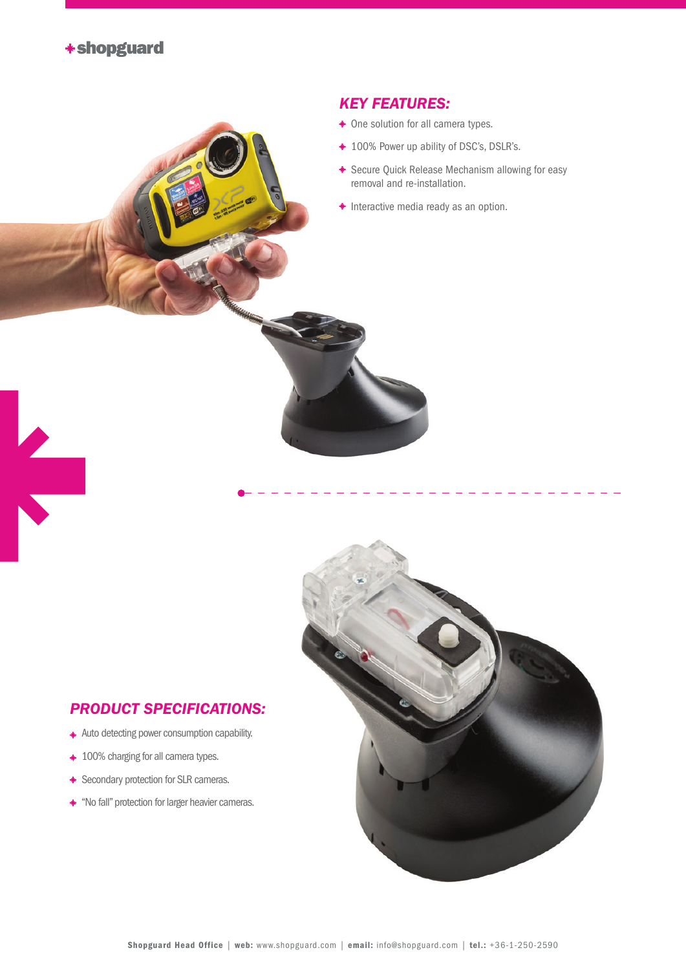

## *Key Features:*

- One solution for all camera types.
- 100% Power up ability of DSC's, DSLR's.
- Secure Quick Release Mechanism allowing for easy removal and re-installation.
- **\*** Interactive media ready as an option.



- Auto detecting power consumption capability.
- $*$  100% charging for all camera types.
- $\div$  Secondary protection for SLR cameras.
- "No fall" protection for larger heavier cameras.